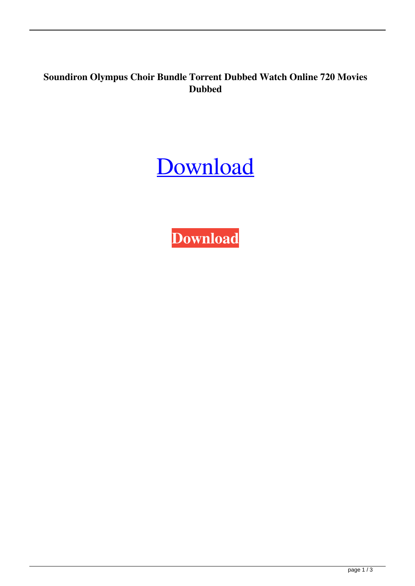## **Soundiron Olympus Choir Bundle Torrent Dubbed Watch Online 720 Movies Dubbed**

## [Download](http://evacdir.com/glyn/clenches/descriptor/tramvia/ZG93bmxvYWR8NXdDTVhka1kzeDhNVFkxTWpjME1EZzJObng4TWpVM05IeDhLRTBwSUhKbFlXUXRZbXh2WnlCYlJtRnpkQ0JIUlU1ZA/U291bmRpcm9uIE9seW1wdXMgQ2hvaXIgQnVuZGxlIFRvcnJlbnQU29/ozick/)

**[Download](http://evacdir.com/glyn/clenches/descriptor/tramvia/ZG93bmxvYWR8NXdDTVhka1kzeDhNVFkxTWpjME1EZzJObng4TWpVM05IeDhLRTBwSUhKbFlXUXRZbXh2WnlCYlJtRnpkQ0JIUlU1ZA/U291bmRpcm9uIE9seW1wdXMgQ2hvaXIgQnVuZGxlIFRvcnJlbnQU29/ozick/)**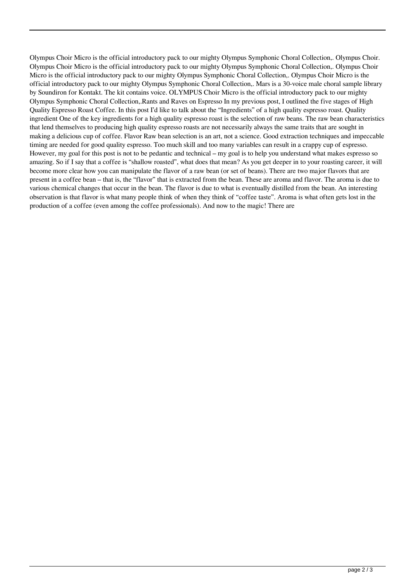Olympus Choir Micro is the official introductory pack to our mighty Olympus Symphonic Choral Collection,. Olympus Choir. Olympus Choir Micro is the official introductory pack to our mighty Olympus Symphonic Choral Collection,. Olympus Choir Micro is the official introductory pack to our mighty Olympus Symphonic Choral Collection,. Olympus Choir Micro is the official introductory pack to our mighty Olympus Symphonic Choral Collection,. Mars is a 30-voice male choral sample library by Soundiron for Kontakt. The kit contains voice. OLYMPUS Choir Micro is the official introductory pack to our mighty Olympus Symphonic Choral Collection,.Rants and Raves on Espresso In my previous post, I outlined the five stages of High Quality Espresso Roast Coffee. In this post I'd like to talk about the "Ingredients" of a high quality espresso roast. Quality ingredient One of the key ingredients for a high quality espresso roast is the selection of raw beans. The raw bean characteristics that lend themselves to producing high quality espresso roasts are not necessarily always the same traits that are sought in making a delicious cup of coffee. Flavor Raw bean selection is an art, not a science. Good extraction techniques and impeccable timing are needed for good quality espresso. Too much skill and too many variables can result in a crappy cup of espresso. However, my goal for this post is not to be pedantic and technical – my goal is to help you understand what makes espresso so amazing. So if I say that a coffee is "shallow roasted", what does that mean? As you get deeper in to your roasting career, it will become more clear how you can manipulate the flavor of a raw bean (or set of beans). There are two major flavors that are present in a coffee bean – that is, the "flavor" that is extracted from the bean. These are aroma and flavor. The aroma is due to various chemical changes that occur in the bean. The flavor is due to what is eventually distilled from the bean. An interesting observation is that flavor is what many people think of when they think of "coffee taste". Aroma is what often gets lost in the production of a coffee (even among the coffee professionals). And now to the magic! There are